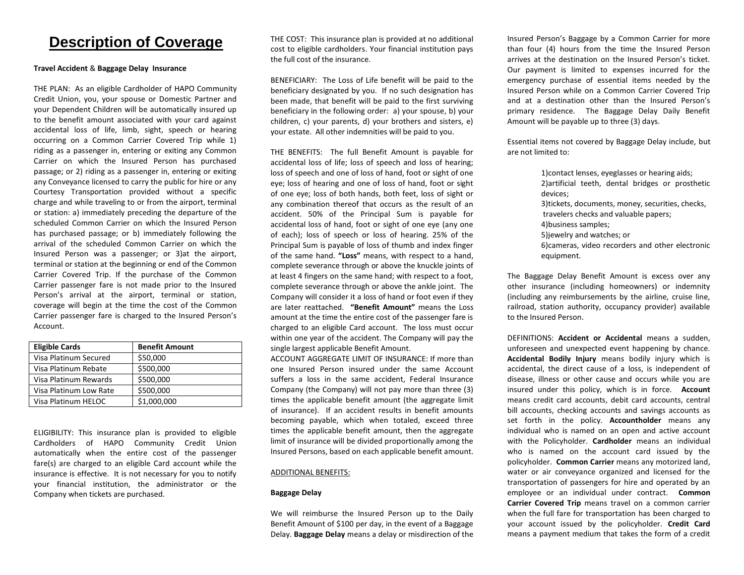# **Description of Coverage**

## **Travel Accident** & **Baggage Delay Insurance**

 THE PLAN: As an eligible Cardholder of HAPO Community Credit Union, you, your spouse or Domestic Partner and your Dependent Children will be automatically insured up to the benefit amount associated with your card against accidental loss of life, limb, sight, speech or hearing occurring on a Common Carrier Covered Trip while 1) riding as a passenger in, entering or exiting any Common Carrier on which the Insured Person has purchased passage; or 2) riding as a passenger in, entering or exiting any Conveyance licensed to carry the public for hire or any Courtesy Transportation provided without a specific charge and while traveling to or from the airport, terminal or station: a) immediately preceding the departure of the scheduled Common Carrier on which the Insured Person has purchased passage; or b) immediately following the arrival of the scheduled Common Carrier on which the Insured Person was a passenger; or 3)at the airport, terminal or station at the beginning or end of the Common Carrier Covered Trip. If the purchase of the Common Person's arrival at the airport, terminal or station, coverage will begin at the time the cost of the Common Carrier passenger fare is charged to the Insured Person's Carrier passenger fare is not made prior to the Insured Account.

| <b>Eligible Cards</b>  | <b>Benefit Amount</b> |
|------------------------|-----------------------|
| Visa Platinum Secured  | \$50,000              |
| Visa Platinum Rebate   | \$500,000             |
| Visa Platinum Rewards  | \$500,000             |
| Visa Platinum Low Rate | \$500,000             |
| Visa Platinum HELOC    | \$1,000,000           |

 ELIGIBILITY: This insurance plan is provided to eligible Cardholders of HAPO Community Credit Union automatically when the entire cost of the passenger fare(s) are charged to an eligible Card account while the insurance is effective. It is not necessary for you to notify your financial institution, the administrator or the Company when tickets are purchased.

 THE COST: This insurance plan is provided at no additional cost to eligible cardholders. Your financial institution pays the full cost of the insurance.

 BENEFICIARY: The Loss of Life benefit will be paid to the beneficiary designated by you. If no such designation has been made, that benefit will be paid to the first surviving beneficiary in the following order: a) your spouse, b) your children, c) your parents, d) your brothers and sisters, e) your estate. All other indemnities will be paid to you.

 THE BENEFITS: The full Benefit Amount is payable for accidental loss of life; loss of speech and loss of hearing; loss of speech and one of loss of hand, foot or sight of one eye; loss of hearing and one of loss of hand, foot or sight of one eye; loss of both hands, both feet, loss of sight or any combination thereof that occurs as the result of an accident. 50% of the Principal Sum is payable for accidental loss of hand, foot or sight of one eye (any one of each); loss of speech or loss of hearing. 25% of the Principal Sum is payable of loss of thumb and index finger of the same hand. **"Loss"** means, with respect to a hand, complete severance through or above the knuckle joints of at least 4 fingers on the same hand; with respect to a foot, complete severance through or above the ankle joint. The Company will consider it a loss of hand or foot even if they are later reattached. **"Benefit Amount"** means the Loss amount at the time the entire cost of the passenger fare is charged to an eligible Card account. The loss must occur within one year of the accident. The Company will pay the single largest applicable Benefit Amount.

single largest applicable Benefit Amount.<br>ACCOUNT AGGREGATE LIMIT OF INSURANCE: If more than one Insured Person insured under the same Account suffers a loss in the same accident, Federal Insurance Company (the Company) will not pay more than three (3) times the applicable benefit amount (the aggregate limit of insurance). If an accident results in benefit amounts becoming payable, which when totaled, exceed three times the applicable benefit amount, then the aggregate limit of insurance will be divided proportionally among the Insured Persons, based on each applicable benefit amount.

### ADDITIONAL BENEFITS:

### **Baggage Delay**

 We will reimburse the Insured Person up to the Daily Benefit Amount of \$100 per day, in the event of a Baggage Delay. **Baggage Delay** means a delay or misdirection of the  Insured Person's Baggage by a Common Carrier for more than four (4) hours from the time the Insured Person arrives at the destination on the Insured Person's ticket. Our payment is limited to expenses incurred for the emergency purchase of essential items needed by the Insured Person while on a Common Carrier Covered Trip and at a destination other than the Insured Person's primary residence. The Baggage Delay Daily Benefit Amount will be payable up to three (3) days.

 Essential items not covered by Baggage Delay include, but are not limited to:

> 1)contact lenses, eyeglasses or hearing aids; 2)artificial teeth, dental bridges or prosthetic 3)tickets, documents, money, securities, checks, travelers checks and valuable papers; 4)business samples; 5)jewelry and watches; or 6)cameras, video recorders and other electronic devices; equipment.

 The Baggage Delay Benefit Amount is excess over any other insurance (including homeowners) or indemnity (including any reimbursements by the airline, cruise line, railroad, station authority, occupancy provider) available to the Insured Person.

 DEFINITIONS: **Accident or Accidental** means a sudden, unforeseen and unexpected event happening by chance. **Accidental Bodily Injury** means bodily injury which is accidental, the direct cause of a loss, is independent of disease, illness or other cause and occurs while you are insured under this policy, which is in force. **Account**  means credit card accounts, debit card accounts, central bill accounts, checking accounts and savings accounts as set forth in the policy. **Accountholder** means any individual who is named on an open and active account with the Policyholder. **Cardholder** means an individual who is named on the account card issued by the policyholder. **Common Carrier** means any motorized land, water or air conveyance organized and licensed for the transportation of passengers for hire and operated by an employee or an individual under contract. **Common Carrier Covered Trip** means travel on a common carrier when the full fare for transportation has been charged to your account issued by the policyholder. **Credit Card**  means a payment medium that takes the form of a credit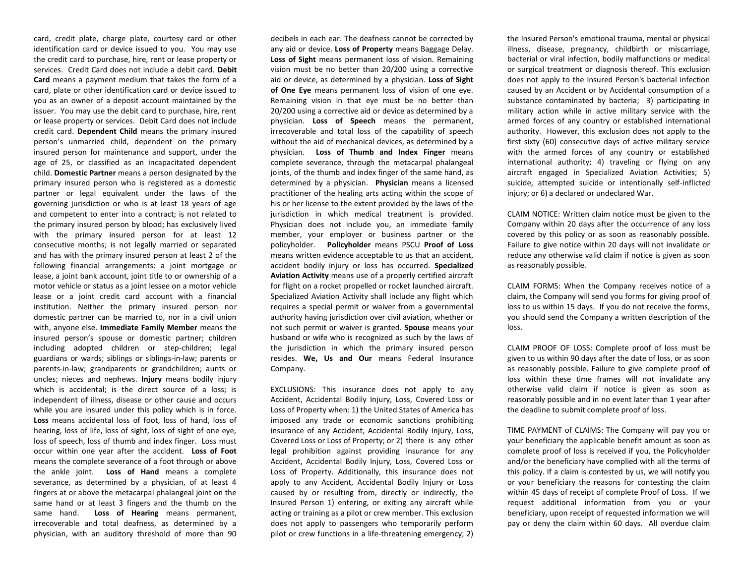card, credit plate, charge plate, courtesy card or other identification card or device issued to you. You may use the credit card to purchase, hire, rent or lease property or services. Credit Card does not include a debit card. **Debit Card** means a payment medium that takes the form of a card, plate or other identification card or device issued to you as an owner of a deposit account maintained by the issuer. You may use the debit card to purchase, hire, rent or lease property or services. Debit Card does not include credit card. **Dependent Child** means the primary insured person's unmarried child, dependent on the primary insured person for maintenance and support, under the age of 25, or classified as an incapacitated dependent child. **Domestic Partner** means a person designated by the primary insured person who is registered as a domestic partner or legal equivalent under the laws of the governing jurisdiction or who is at least 18 years of age and competent to enter into a contract; is not related to the primary insured person by blood; has exclusively lived with the primary insured person for at least 12 consecutive months; is not legally married or separated and has with the primary insured person at least 2 of the following financial arrangements: a joint mortgage or lease, a joint bank account, joint title to or ownership of a motor vehicle or status as a joint lessee on a motor vehicle lease or a joint credit card account with a financial institution. Neither the primary insured person nor domestic partner can be married to, nor in a civil union with, anyone else. **Immediate Family Member** means the insured person's spouse or domestic partner; children including adopted children or step-children; legal guardians or wards; siblings or siblings-in-law; parents or parents-in-law; grandparents or grandchildren; aunts or uncles; nieces and nephews. **Injury** means bodily injury which is accidental; is the direct source of a loss; is independent of illness, disease or other cause and occurs while you are insured under this policy which is in force. **Loss** means accidental loss of foot, loss of hand, loss of hearing, loss of life, loss of sight, loss of sight of one eye, loss of speech, loss of thumb and index finger. Loss must occur within one year after the accident. **Loss of Foot**  means the complete severance of a foot through or above the ankle joint. **Loss of Hand** means a complete severance, as determined by a physician, of at least 4 fingers at or above the metacarpal phalangeal joint on the same hand or at least 3 fingers and the thumb on the same hand. **Loss of Hearing** means permanent, irrecoverable and total deafness, as determined by a physician, with an auditory threshold of more than 90

 decibels in each ear. The deafness cannot be corrected by any aid or device. **Loss of Property** means Baggage Delay. **Loss of Sight** means permanent loss of vision. Remaining vision must be no better than 20/200 using a corrective aid or device, as determined by a physician. **Loss of Sight of One Eye** means permanent loss of vision of one eye. Remaining vision in that eye must be no better than 20/200 using a corrective aid or device as determined by a physician. **Loss of Speech** means the permanent, irrecoverable and total loss of the capability of speech without the aid of mechanical devices, as determined by a physician. **Loss of Thumb and Index Finger** means complete severance, through the metacarpal phalangeal joints, of the thumb and index finger of the same hand, as determined by a physician. **Physician** means a licensed practitioner of the healing arts acting within the scope of his or her license to the extent provided by the laws of the jurisdiction in which medical treatment is provided. Physician does not include you, an immediate family member, your employer or business partner or the policyholder. **Policyholder** means PSCU **Proof of Loss**  means written evidence acceptable to us that an accident, accident bodily injury or loss has occurred. **Specialized Aviation Activity** means use of a properly certified aircraft for flight on a rocket propelled or rocket launched aircraft. Specialized Aviation Activity shall include any flight which requires a special permit or waiver from a governmental authority having jurisdiction over civil aviation, whether or not such permit or waiver is granted. **Spouse** means your husband or wife who is recognized as such by the laws of the jurisdiction in which the primary insured person  resides. **We, Us and Our** means Federal Insurance Company. Company.<br>EXCLUSIONS: This insurance does not apply to any

 Accident, Accidental Bodily Injury, Loss, Covered Loss or Loss of Property when: 1) the United States of America has imposed any trade or economic sanctions prohibiting insurance of any Accident, Accidental Bodily Injury, Loss, Covered Loss or Loss of Property; or 2) there is any other legal prohibition against providing insurance for any Accident, Accidental Bodily Injury, Loss, Covered Loss or Loss of Property. Additionally, this insurance does not apply to any Accident, Accidental Bodily Injury or Loss caused by or resulting from, directly or indirectly, the Insured Person 1) entering, or exiting any aircraft while acting or training as a pilot or crew member. This exclusion does not apply to passengers who temporarily perform pilot or crew functions in a life-threatening emergency; 2)

 the Insured Person's emotional trauma, mental or physical illness, disease, pregnancy, childbirth or miscarriage, bacterial or viral infection, bodily malfunctions or medical or surgical treatment or diagnosis thereof. This exclusion does not apply to the Insured Person's bacterial infection caused by an Accident or by Accidental consumption of a substance contaminated by bacteria; 3) participating in military action while in active military service with the armed forces of any country or established international authority. However, this exclusion does not apply to the first sixty (60) consecutive days of active military service with the armed forces of any country or established international authority; 4) traveling or flying on any aircraft engaged in Specialized Aviation Activities; 5) suicide, attempted suicide or intentionally self-inflicted injury; or 6) a declared or undeclared War.

 CLAIM NOTICE: Written claim notice must be given to the Company within 20 days after the occurrence of any loss covered by this policy or as soon as reasonably possible. Failure to give notice within 20 days will not invalidate or reduce any otherwise valid claim if notice is given as soon as reasonably possible.

 CLAIM FORMS: When the Company receives notice of a claim, the Company will send you forms for giving proof of loss to us within 15 days. If you do not receive the forms, you should send the Company a written description of the loss.

 CLAIM PROOF OF LOSS: Complete proof of loss must be given to us within 90 days after the date of loss, or as soon as reasonably possible. Failure to give complete proof of loss within these time frames will not invalidate any otherwise valid claim if notice is given as soon as reasonably possible and in no event later than 1 year after the deadline to submit complete proof of loss.

 TIME PAYMENT of CLAIMS: The Company will pay you or your beneficiary the applicable benefit amount as soon as complete proof of loss is received if you, the Policyholder and/or the beneficiary have complied with all the terms of this policy. If a claim is contested by us, we will notify you or your beneficiary the reasons for contesting the claim within 45 days of receipt of complete Proof of Loss. If we request additional information from you or your beneficiary, upon receipt of requested information we will pay or deny the claim within 60 days. All overdue claim